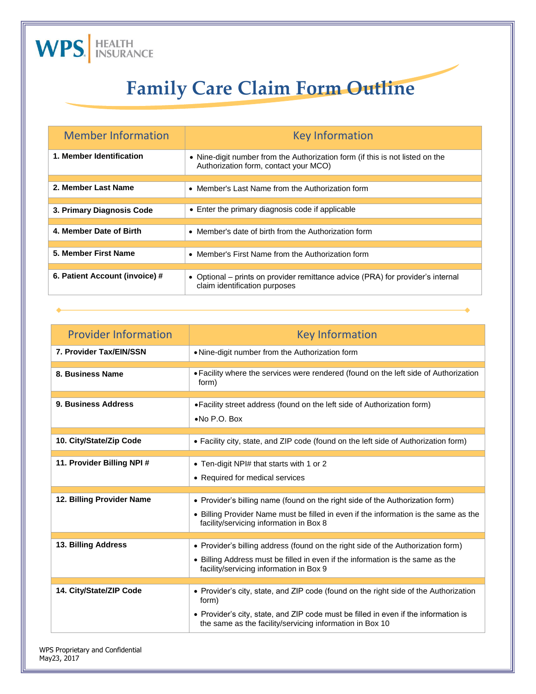

## **Family Care Claim Form Outline**

| <b>Member Information</b>      | <b>Key Information</b>                                                                                                 |  |
|--------------------------------|------------------------------------------------------------------------------------------------------------------------|--|
| 1. Member Identification       | • Nine-digit number from the Authorization form (if this is not listed on the<br>Authorization form, contact your MCO) |  |
|                                |                                                                                                                        |  |
| 2. Member Last Name            | • Member's Last Name from the Authorization form                                                                       |  |
|                                |                                                                                                                        |  |
| 3. Primary Diagnosis Code      | • Enter the primary diagnosis code if applicable                                                                       |  |
|                                |                                                                                                                        |  |
| 4. Member Date of Birth        | • Member's date of birth from the Authorization form                                                                   |  |
|                                |                                                                                                                        |  |
| 5. Member First Name           | • Member's First Name from the Authorization form                                                                      |  |
|                                |                                                                                                                        |  |
| 6. Patient Account (invoice) # | • Optional – prints on provider remittance advice (PRA) for provider's internal<br>claim identification purposes       |  |

| <b>Provider Information</b> | <b>Key Information</b>                                                                                                                                                                                                                           |
|-----------------------------|--------------------------------------------------------------------------------------------------------------------------------------------------------------------------------------------------------------------------------------------------|
| 7. Provider Tax/EIN/SSN     | • Nine-digit number from the Authorization form                                                                                                                                                                                                  |
| 8. Business Name            | • Facility where the services were rendered (found on the left side of Authorization<br>form)                                                                                                                                                    |
| 9. Business Address         | • Facility street address (found on the left side of Authorization form)<br>$\bullet$ No P.O. Box                                                                                                                                                |
| 10. City/State/Zip Code     | • Facility city, state, and ZIP code (found on the left side of Authorization form)                                                                                                                                                              |
| 11. Provider Billing NPI#   | • Ten-digit NPI# that starts with 1 or 2<br>• Required for medical services                                                                                                                                                                      |
| 12. Billing Provider Name   | • Provider's billing name (found on the right side of the Authorization form)<br>• Billing Provider Name must be filled in even if the information is the same as the<br>facility/servicing information in Box 8                                 |
| 13. Billing Address         | • Provider's billing address (found on the right side of the Authorization form)<br>• Billing Address must be filled in even if the information is the same as the<br>facility/servicing information in Box 9                                    |
| 14. City/State/ZIP Code     | • Provider's city, state, and ZIP code (found on the right side of the Authorization<br>form)<br>• Provider's city, state, and ZIP code must be filled in even if the information is<br>the same as the facility/servicing information in Box 10 |